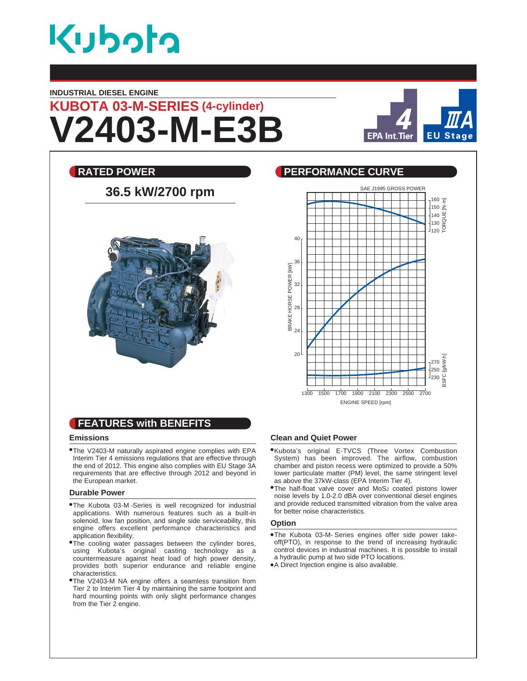

#### **INDUSTRIAL DIESEL ENGINE**

# **V2403-M-E3B KUBOTA 03-M-SERIES (4-cylinder)**





# **FEATURES with BENEFITS**

#### **Emissions**

The V2403-M naturally aspirated engine complies with EPA Interim Tier 4 emissions regulations that are effective through the end of 2012. This engine also complies with EU Stage 3A requirements that are effective through 2012 and beyond in the European market.

#### **Durable Power**

- The Kubota 03-M -Series is well recognized for industrial applications. With numerous features such as a built-in solenoid, low fan position, and single side serviceability, this engine offers excellent performance characteristics and application flexibility.
- **•The cooling water passages between the cylinder bores,** using Kubota's original casting technology as a countermeasure against heat load of high power density, provides both superior endurance and reliable engine characteristics.
- The V2403-M NA engine offers a seamless transition from Tier 2 to Interim Tier 4 by maintaining the same footprint and hard mounting points with only slight performance changes from the Tier 2 engine.

#### **Clean and Quiet Power**

- Kubota's original E-TVCS (Three Vortex Combustion System) has been improved. The airflow, combustion chamber and piston recess were optimized to provide a 50% lower particulate matter (PM) level, the same stringent level as above the 37kW-class (EPA Interim Tier 4).
- **•The half-float valve cover and MoS2 coated pistons lower** noise levels by 1.0-2.0 dBA over conventional diesel engines and provide reduced transmitted vibration from the valve area for better noise characteristics.

#### **Option**

- The Kubota 03-M- Series engines offer side power takeoff(PTO), in response to the trend of increasing hydraulic control devices in industrial machines. It is possible to install a hydraulic pump at two side PTO locations.
- A Direct Injection engine is also available.